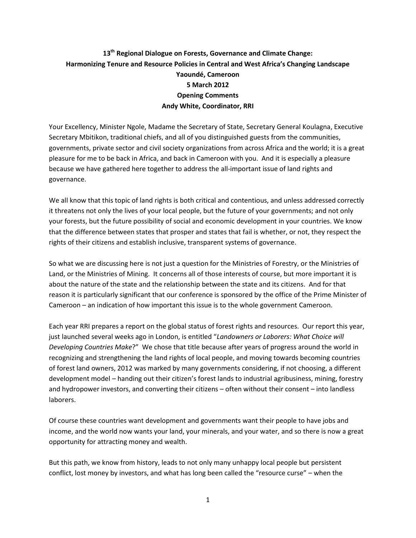## **13th Regional Dialogue on Forests, Governance and Climate Change: Harmonizing Tenure and Resource Policies in Central and West Africa's Changing Landscape Yaoundé, Cameroon 5 March 2012 Opening Comments Andy White, Coordinator, RRI**

Your Excellency, Minister Ngole, Madame the Secretary of State, Secretary General Koulagna, Executive Secretary Mbitikon, traditional chiefs, and all of you distinguished guests from the communities, governments, private sector and civil society organizations from across Africa and the world; it is a great pleasure for me to be back in Africa, and back in Cameroon with you. And it is especially a pleasure because we have gathered here together to address the all-important issue of land rights and governance.

We all know that this topic of land rights is both critical and contentious, and unless addressed correctly it threatens not only the lives of your local people, but the future of your governments; and not only your forests, but the future possibility of social and economic development in your countries. We know that the difference between states that prosper and states that fail is whether, or not, they respect the rights of their citizens and establish inclusive, transparent systems of governance.

So what we are discussing here is not just a question for the Ministries of Forestry, or the Ministries of Land, or the Ministries of Mining. It concerns all of those interests of course, but more important it is about the nature of the state and the relationship between the state and its citizens. And for that reason it is particularly significant that our conference is sponsored by the office of the Prime Minister of Cameroon – an indication of how important this issue is to the whole government Cameroon.

Each year RRI prepares a report on the global status of forest rights and resources. Our report this year, just launched several weeks ago in London, is entitled "*Landowners or Laborers: What Choice will Developing Countries Make*?" We chose that title because after years of progress around the world in recognizing and strengthening the land rights of local people, and moving towards becoming countries of forest land owners, 2012 was marked by many governments considering, if not choosing, a different development model – handing out their citizen's forest lands to industrial agribusiness, mining, forestry and hydropower investors, and converting their citizens – often without their consent – into landless laborers.

Of course these countries want development and governments want their people to have jobs and income, and the world now wants your land, your minerals, and your water, and so there is now a great opportunity for attracting money and wealth.

But this path, we know from history, leads to not only many unhappy local people but persistent conflict, lost money by investors, and what has long been called the "resource curse" – when the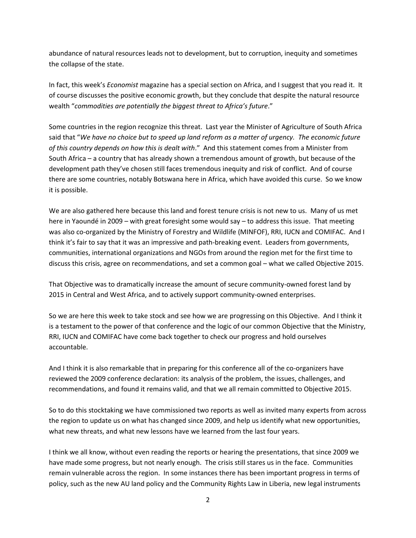abundance of natural resources leads not to development, but to corruption, inequity and sometimes the collapse of the state.

In fact, this week's *Economist* magazine has a special section on Africa, and I suggest that you read it. It of course discusses the positive economic growth, but they conclude that despite the natural resource wealth "*commodities are potentially the biggest threat to Africa's future*."

Some countries in the region recognize this threat. Last year the Minister of Agriculture of South Africa said that "*We have no choice but to speed up land reform as a matter of urgency. The economic future of this country depends on how this is dealt with*." And this statement comes from a Minister from South Africa – a country that has already shown a tremendous amount of growth, but because of the development path they've chosen still faces tremendous inequity and risk of conflict. And of course there are some countries, notably Botswana here in Africa, which have avoided this curse. So we know it is possible.

We are also gathered here because this land and forest tenure crisis is not new to us. Many of us met here in Yaoundé in 2009 – with great foresight some would say – to address this issue. That meeting was also co-organized by the Ministry of Forestry and Wildlife (MINFOF), RRI, IUCN and COMIFAC. And I think it's fair to say that it was an impressive and path-breaking event. Leaders from governments, communities, international organizations and NGOs from around the region met for the first time to discuss this crisis, agree on recommendations, and set a common goal – what we called Objective 2015.

That Objective was to dramatically increase the amount of secure community-owned forest land by 2015 in Central and West Africa, and to actively support community-owned enterprises.

So we are here this week to take stock and see how we are progressing on this Objective. And I think it is a testament to the power of that conference and the logic of our common Objective that the Ministry, RRI, IUCN and COMIFAC have come back together to check our progress and hold ourselves accountable.

And I think it is also remarkable that in preparing for this conference all of the co-organizers have reviewed the 2009 conference declaration: its analysis of the problem, the issues, challenges, and recommendations, and found it remains valid, and that we all remain committed to Objective 2015.

So to do this stocktaking we have commissioned two reports as well as invited many experts from across the region to update us on what has changed since 2009, and help us identify what new opportunities, what new threats, and what new lessons have we learned from the last four years.

I think we all know, without even reading the reports or hearing the presentations, that since 2009 we have made some progress, but not nearly enough. The crisis still stares us in the face. Communities remain vulnerable across the region. In some instances there has been important progress in terms of policy, such as the new AU land policy and the Community Rights Law in Liberia, new legal instruments